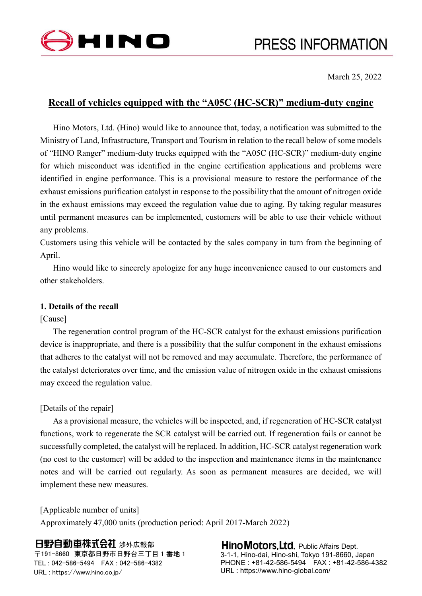

March 25, 2022

# **Recall of vehicles equipped with the "A05C (HC-SCR)" medium-duty engine**

Hino Motors, Ltd. (Hino) would like to announce that, today, a notification was submitted to the Ministry of Land, Infrastructure, Transport and Tourism in relation to the recall below of some models of "HINO Ranger" medium-duty trucks equipped with the "A05C (HC-SCR)" medium-duty engine for which misconduct was identified in the engine certification applications and problems were identified in engine performance. This is a provisional measure to restore the performance of the exhaust emissions purification catalyst in response to the possibility that the amount of nitrogen oxide in the exhaust emissions may exceed the regulation value due to aging. By taking regular measures until permanent measures can be implemented, customers will be able to use their vehicle without any problems.

Customers using this vehicle will be contacted by the sales company in turn from the beginning of April.

Hino would like to sincerely apologize for any huge inconvenience caused to our customers and other stakeholders.

### **1. Details of the recall**

### [Cause]

The regeneration control program of the HC-SCR catalyst for the exhaust emissions purification device is inappropriate, and there is a possibility that the sulfur component in the exhaust emissions that adheres to the catalyst will not be removed and may accumulate. Therefore, the performance of the catalyst deteriorates over time, and the emission value of nitrogen oxide in the exhaust emissions may exceed the regulation value.

### [Details of the repair]

As a provisional measure, the vehicles will be inspected, and, if regeneration of HC-SCR catalyst functions, work to regenerate the SCR catalyst will be carried out. If regeneration fails or cannot be successfully completed, the catalyst will be replaced. In addition, HC-SCR catalyst regeneration work (no cost to the customer) will be added to the inspection and maintenance items in the maintenance notes and will be carried out regularly. As soon as permanent measures are decided, we will implement these new measures.

[Applicable number of units] Approximately 47,000 units (production period: April 2017-March 2022)

## 日野自動車株式会社 涉外広報部

〒191-8660 東京都日野市日野台三丁目 1 番地 1 TEL : 042-586-5494 FAX : 042-586-4382 URL : https://www.hino.co.jp/

#### **Hino Motors, Ltd.** Public Affairs Dept. 3-1-1, Hino-dai, Hino-shi, Tokyo 191-8660, Japan PHONE : +81-42-586-5494 FAX : +81-42-586-4382 URL : https://www.hino-global.com/